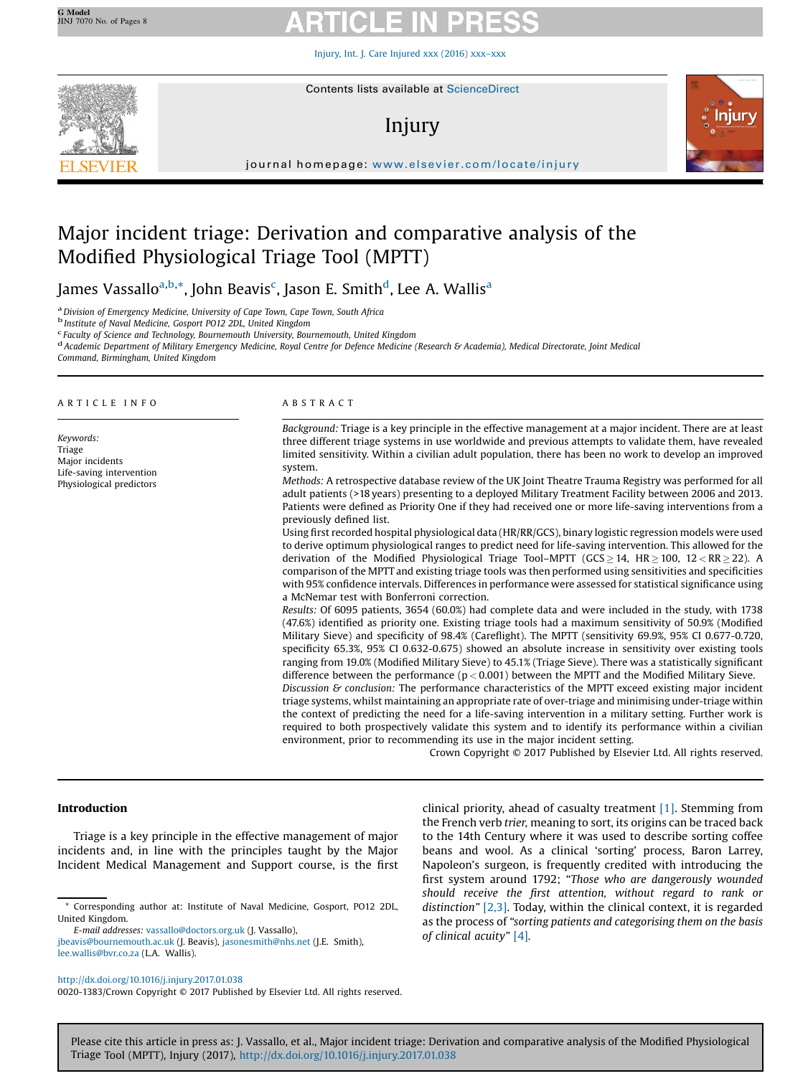Injury, Int. J. Care [Injured](http://dx.doi.org/10.1016/j.injury.2017.01.038) xxx (2016) xxx–xxx



# Injury



journal homepage: <www.elsevier.com/locate/injury>/ $\mathcal{N}$ 

# Major incident triage: Derivation and comparative analysis of the Modified Physiological Triage Tool (MPTT)

James Vassallo<sup>a,b,</sup>\*, John Beavis<sup>c</sup>, Jason E. Smith<sup>d</sup>, Lee A. Wallis<sup>a</sup>

<sup>a</sup> Division of Emergency Medicine, University of Cape Town, Cape Town, South Africa<br><sup>b</sup> Institute of Naval Medicine, Gosport PO12 2DL, United Kingdom<br><sup>c</sup> Faculty of Science and Technology, Bournemouth University, Bournem

<sup>d</sup> Academic Department of Military Emergency Medicine, Royal Centre for Defence Medicine (Research & Academia), Medical Directorate, Joint Medical

Command, Birmingham, United Kingdom

### A R T I C L E I N F O

Keywords: Triage Major incidents Life-saving intervention Physiological predictors

### A B S T R A C T

Background: Triage is a key principle in the effective management at a major incident. There are at least three different triage systems in use worldwide and previous attempts to validate them, have revealed limited sensitivity. Within a civilian adult population, there has been no work to develop an improved system.

Methods: A retrospective database review of the UK Joint Theatre Trauma Registry was performed for all adult patients (>18 years) presenting to a deployed Military Treatment Facility between 2006 and 2013. Patients were defined as Priority One if they had received one or more life-saving interventions from a previously defined list.

Using first recorded hospital physiological data (HR/RR/GCS), binary logistic regression models were used to derive optimum physiological ranges to predict need for life-saving intervention. This allowed for the derivation of the Modified Physiological Triage Tool–MPTT (GCS  $\geq$  14, HR  $\geq$  100, 12 < RR  $\geq$  22). A comparison of the MPTT and existing triage tools was then performed using sensitivities and specificities with 95% confidence intervals. Differences in performance were assessed for statistical significance using a McNemar test with Bonferroni correction.

Results: Of 6095 patients, 3654 (60.0%) had complete data and were included in the study, with 1738 (47.6%) identified as priority one. Existing triage tools had a maximum sensitivity of 50.9% (Modified Military Sieve) and specificity of 98.4% (Careflight). The MPTT (sensitivity 69.9%, 95% CI 0.677-0.720, specificity 65.3%, 95% CI 0.632-0.675) showed an absolute increase in sensitivity over existing tools ranging from 19.0% (Modified Military Sieve) to 45.1% (Triage Sieve). There was a statistically significant difference between the performance ( $p < 0.001$ ) between the MPTT and the Modified Military Sieve.

Discussion  $\mathcal G$  conclusion: The performance characteristics of the MPTT exceed existing major incident triage systems, whilst maintaining an appropriate rate of over-triage and minimising under-triage within the context of predicting the need for a life-saving intervention in a military setting. Further work is required to both prospectively validate this system and to identify its performance within a civilian environment, prior to recommending its use in the major incident setting.

Crown Copyright © 2017 Published by Elsevier Ltd. All rights reserved.

# Introduction

Triage is a key principle in the effective management of major incidents and, in line with the principles taught by the Major Incident Medical Management and Support course, is the first

E-mail addresses: [vassallo@doctors.org.uk](mailto:vassallo@doctors.org.uk) (J. Vassallo),

0020-1383/Crown Copyright © 2017 Published by Elsevier Ltd. All rights reserved.

clinical priority, ahead of casualty treatment [\[1\]](#page-6-0). Stemming from the French verb trier, meaning to sort, its origins can be traced back to the 14th Century where it was used to describe sorting coffee beans and wool. As a clinical 'sorting' process, Baron Larrey, Napoleon's surgeon, is frequently credited with introducing the first system around 1792; "Those who are dangerously wounded should receive the first attention, without regard to rank or distinction" [\[2,3\].](#page-6-0) Today, within the clinical context, it is regarded as the process of "sorting patients and categorising them on the basis of clinical acuity" [\[4\]](#page-6-0).

<sup>\*</sup> Corresponding author at: Institute of Naval Medicine, Gosport, PO12 2DL, United Kingdom.

[jbeavis@bournemouth.ac.uk](mailto:jbeavis@bournemouth.ac.uk) (J. Beavis), [jasonesmith@nhs.net](mailto:jasonesmith@nhs.net) (J.E. Smith), [lee.wallis@bvr.co.za](mailto:lee.wallis@bvr.co.za) (L.A. Wallis).

<http://dx.doi.org/10.1016/j.injury.2017.01.038>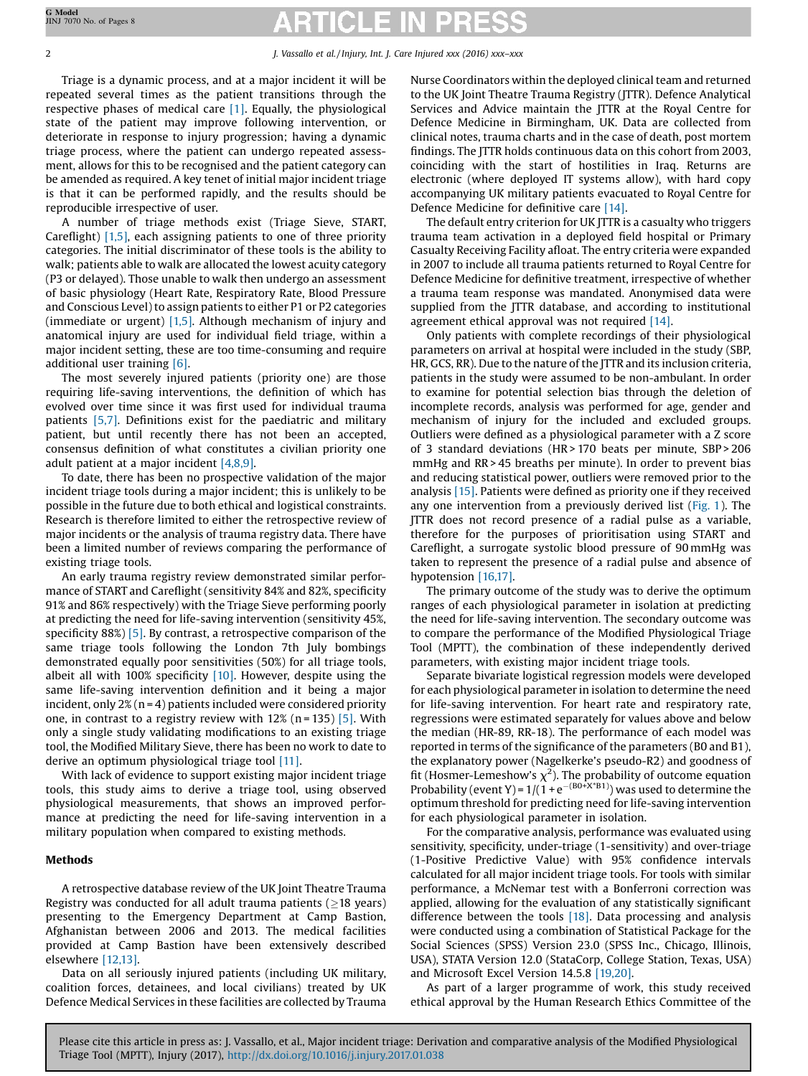Triage is a dynamic process, and at a major incident it will be repeated several times as the patient transitions through the respective phases of medical care [\[1\]](#page-6-0). Equally, the physiological state of the patient may improve following intervention, or deteriorate in response to injury progression; having a dynamic triage process, where the patient can undergo repeated assessment, allows for this to be recognised and the patient category can be amended as required. A key tenet of initial major incident triage is that it can be performed rapidly, and the results should be reproducible irrespective of user.

A number of triage methods exist (Triage Sieve, START, Careflight) [\[1,5\],](#page-6-0) each assigning patients to one of three priority categories. The initial discriminator of these tools is the ability to walk; patients able to walk are allocated the lowest acuity category (P3 or delayed). Those unable to walk then undergo an assessment of basic physiology (Heart Rate, Respiratory Rate, Blood Pressure and Conscious Level) to assign patients to either P1 or P2 categories (immediate or urgent) [\[1,5\].](#page-6-0) Although mechanism of injury and anatomical injury are used for individual field triage, within a major incident setting, these are too time-consuming and require additional user training [\[6\]](#page-6-0).

The most severely injured patients (priority one) are those requiring life-saving interventions, the definition of which has evolved over time since it was first used for individual trauma patients [\[5,7\].](#page-6-0) Definitions exist for the paediatric and military patient, but until recently there has not been an accepted, consensus definition of what constitutes a civilian priority one adult patient at a major incident [\[4,8,9\]](#page-6-0).

To date, there has been no prospective validation of the major incident triage tools during a major incident; this is unlikely to be possible in the future due to both ethical and logistical constraints. Research is therefore limited to either the retrospective review of major incidents or the analysis of trauma registry data. There have been a limited number of reviews comparing the performance of existing triage tools.

An early trauma registry review demonstrated similar performance of START and Careflight (sensitivity 84% and 82%, specificity 91% and 86% respectively) with the Triage Sieve performing poorly at predicting the need for life-saving intervention (sensitivity 45%, specificity 88%) [\[5\]](#page-6-0). By contrast, a retrospective comparison of the same triage tools following the London 7th July bombings demonstrated equally poor sensitivities (50%) for all triage tools, albeit all with 100% specificity  $[10]$ . However, despite using the same life-saving intervention definition and it being a major incident, only  $2\%$  (n = 4) patients included were considered priority one, in contrast to a registry review with  $12\%$  (n = 135) [\[5\]](#page-6-0). With only a single study validating modifications to an existing triage tool, the Modified Military Sieve, there has been no work to date to derive an optimum physiological triage tool [\[11\].](#page-6-0)

With lack of evidence to support existing major incident triage tools, this study aims to derive a triage tool, using observed physiological measurements, that shows an improved performance at predicting the need for life-saving intervention in a military population when compared to existing methods.

# Methods

A retrospective database review of the UK Joint Theatre Trauma Registry was conducted for all adult trauma patients ( $\geq$ 18 years) presenting to the Emergency Department at Camp Bastion, Afghanistan between 2006 and 2013. The medical facilities provided at Camp Bastion have been extensively described elsewhere [\[12,13\]](#page-6-0).

Data on all seriously injured patients (including UK military, coalition forces, detainees, and local civilians) treated by UK Defence Medical Services in these facilities are collected by Trauma Nurse Coordinators within the deployed clinical team and returned to the UK Joint Theatre Trauma Registry (JTTR). Defence Analytical Services and Advice maintain the JTTR at the Royal Centre for Defence Medicine in Birmingham, UK. Data are collected from clinical notes, trauma charts and in the case of death, post mortem findings. The JTTR holds continuous data on this cohort from 2003, coinciding with the start of hostilities in Iraq. Returns are electronic (where deployed IT systems allow), with hard copy accompanying UK military patients evacuated to Royal Centre for Defence Medicine for definitive care [\[14\].](#page-6-0)

The default entry criterion for UK JTTR is a casualty who triggers trauma team activation in a deployed field hospital or Primary Casualty Receiving Facility afloat. The entry criteria were expanded in 2007 to include all trauma patients returned to Royal Centre for Defence Medicine for definitive treatment, irrespective of whether a trauma team response was mandated. Anonymised data were supplied from the JTTR database, and according to institutional agreement ethical approval was not required [\[14\]](#page-6-0).

Only patients with complete recordings of their physiological parameters on arrival at hospital were included in the study (SBP, HR, GCS, RR). Due to the nature of the JTTR and its inclusion criteria, patients in the study were assumed to be non-ambulant. In order to examine for potential selection bias through the deletion of incomplete records, analysis was performed for age, gender and mechanism of injury for the included and excluded groups. Outliers were defined as a physiological parameter with a Z score of 3 standard deviations (HR > 170 beats per minute, SBP > 206 mmHg and RR > 45 breaths per minute). In order to prevent bias and reducing statistical power, outliers were removed prior to the analysis [\[15\]](#page-6-0). Patients were defined as priority one if they received any one intervention from a previously derived list ([Fig.](#page-2-0) 1). The JTTR does not record presence of a radial pulse as a variable, therefore for the purposes of prioritisation using START and Careflight, a surrogate systolic blood pressure of 90 mmHg was taken to represent the presence of a radial pulse and absence of hypotension [\[16,17\].](#page-6-0)

The primary outcome of the study was to derive the optimum ranges of each physiological parameter in isolation at predicting the need for life-saving intervention. The secondary outcome was to compare the performance of the Modified Physiological Triage Tool (MPTT), the combination of these independently derived parameters, with existing major incident triage tools.

Separate bivariate logistical regression models were developed for each physiological parameter in isolation to determine the need for life-saving intervention. For heart rate and respiratory rate, regressions were estimated separately for values above and below the median (HR-89, RR-18). The performance of each model was reported in terms of the significance of the parameters (B0 and B1), the explanatory power (Nagelkerke's pseudo-R2) and goodness of fit (Hosmer-Lemeshow's  $\chi^2$ ). The probability of outcome equation Probability (event Y) =  $1/(1 + e^{-(B0 + X*B1)})$  was used to determine the optimum threshold for predicting need for life-saving intervention for each physiological parameter in isolation.

For the comparative analysis, performance was evaluated using sensitivity, specificity, under-triage (1-sensitivity) and over-triage (1-Positive Predictive Value) with 95% confidence intervals calculated for all major incident triage tools. For tools with similar performance, a McNemar test with a Bonferroni correction was applied, allowing for the evaluation of any statistically significant difference between the tools  $[18]$ . Data processing and analysis were conducted using a combination of Statistical Package for the Social Sciences (SPSS) Version 23.0 (SPSS Inc., Chicago, Illinois, USA), STATA Version 12.0 (StataCorp, College Station, Texas, USA) and Microsoft Excel Version 14.5.8 [\[19,20\].](#page-6-0)

As part of a larger programme of work, this study received ethical approval by the Human Research Ethics Committee of the

JINJ 7070 No. of Pages 8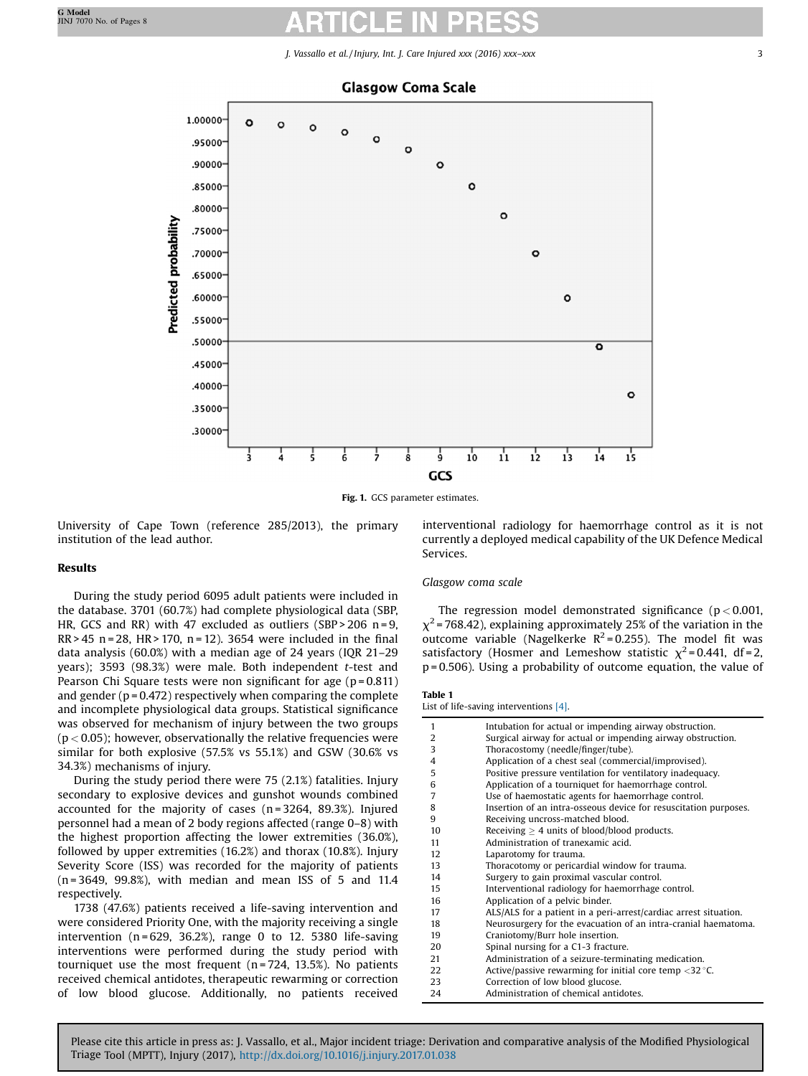

<span id="page-2-0"></span>

Fig. 1. GCS parameter estimates.

University of Cape Town (reference 285/2013), the primary institution of the lead author.

# Results

During the study period 6095 adult patients were included in the database. 3701 (60.7%) had complete physiological data (SBP, HR, GCS and RR) with 47 excluded as outliers (SBP > 206 n = 9,  $RR > 45$  n = 28, HR > 170, n = 12). 3654 were included in the final data analysis (60.0%) with a median age of 24 years (IQR 21–29 years); 3593 (98.3%) were male. Both independent t-test and Pearson Chi Square tests were non significant for age  $(p=0.811)$ and gender ( $p = 0.472$ ) respectively when comparing the complete and incomplete physiological data groups. Statistical significance was observed for mechanism of injury between the two groups  $(p < 0.05)$ ; however, observationally the relative frequencies were similar for both explosive (57.5% vs 55.1%) and GSW (30.6% vs 34.3%) mechanisms of injury.

During the study period there were 75 (2.1%) fatalities. Injury secondary to explosive devices and gunshot wounds combined accounted for the majority of cases  $(n = 3264, 89.3%)$ . Injured personnel had a mean of 2 body regions affected (range 0–8) with the highest proportion affecting the lower extremities (36.0%), followed by upper extremities (16.2%) and thorax (10.8%). Injury Severity Score (ISS) was recorded for the majority of patients  $(n = 3649, 99.8\%)$ , with median and mean ISS of 5 and 11.4 respectively.

1738 (47.6%) patients received a life-saving intervention and were considered Priority One, with the majority receiving a single intervention ( $n = 629$ , 36.2%), range 0 to 12. 5380 life-saving interventions were performed during the study period with tourniquet use the most frequent ( $n = 724$ , 13.5%). No patients received chemical antidotes, therapeutic rewarming or correction of low blood glucose. Additionally, no patients received interventional radiology for haemorrhage control as it is not currently a deployed medical capability of the UK Defence Medical Services.

### Glasgow coma scale

The regression model demonstrated significance ( $p < 0.001$ ,  $\chi^2$  = 768.42), explaining approximately 25% of the variation in the outcome variable (Nagelkerke  $R^2$ =0.255). The model fit was satisfactory (Hosmer and Lemeshow statistic  $\chi^2$ =0.441, df=2, p = 0.506). Using a probability of outcome equation, the value of

# Table 1

List of life-saving interventions [\[4\]](#page-6-0).

| 1              | Intubation for actual or impending airway obstruction.                         |
|----------------|--------------------------------------------------------------------------------|
| $\overline{2}$ | Surgical airway for actual or impending airway obstruction.                    |
| 3              | Thoracostomy (needle/finger/tube).                                             |
| 4              | Application of a chest seal (commercial/improvised).                           |
| 5              | Positive pressure ventilation for ventilatory inadequacy.                      |
| 6              | Application of a tourniquet for haemorrhage control.                           |
| 7              | Use of haemostatic agents for haemorrhage control.                             |
| 8              | Insertion of an intra-osseous device for resuscitation purposes.               |
| 9              | Receiving uncross-matched blood.                                               |
| 10             | Receiving $\geq 4$ units of blood/blood products.                              |
| 11             | Administration of tranexamic acid.                                             |
| 12             | Laparotomy for trauma.                                                         |
| 13             | Thoracotomy or pericardial window for trauma.                                  |
| 14             | Surgery to gain proximal vascular control.                                     |
| 15             | Interventional radiology for haemorrhage control.                              |
| 16             | Application of a pelvic binder.                                                |
| 17             | ALS/ALS for a patient in a peri-arrest/cardiac arrest situation.               |
| 18             | Neurosurgery for the evacuation of an intra-cranial haematoma.                 |
| 19             | Craniotomy/Burr hole insertion.                                                |
| 20             | Spinal nursing for a C1-3 fracture.                                            |
| 21             | Administration of a seizure-terminating medication.                            |
| 22             | Active/passive rewarming for initial core temp $\langle 32 \rangle^{\circ}$ C. |
| 23             | Correction of low blood glucose.                                               |
| 24             | Administration of chemical antidotes.                                          |
|                |                                                                                |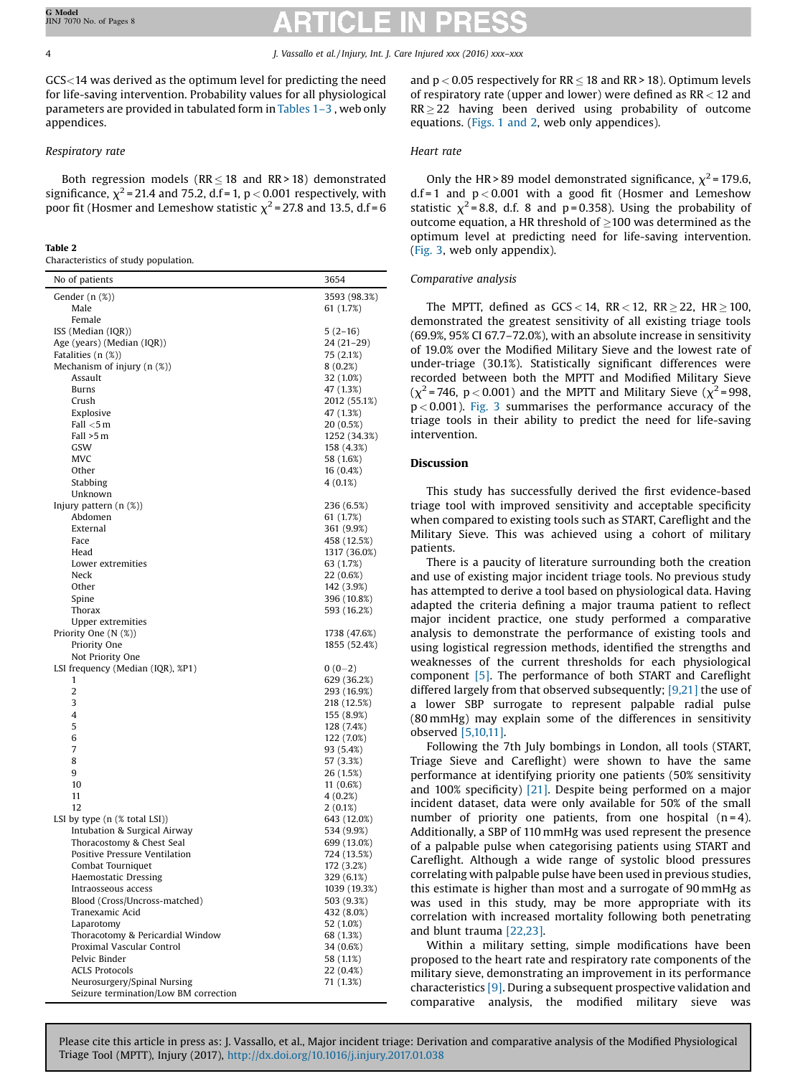GCS<14 was derived as the optimum level for predicting the need for life-saving intervention. Probability values for all physiological parameters are provided in tabulated form in [Tables](#page-2-0) 1–3 , web only appendices.

# Respiratory rate

Both regression models ( $RR \leq 18$  and  $RR > 18$ ) demonstrated significance,  $\chi^2$  = 21.4 and 75.2, d.f = 1, p < 0.001 respectively, with poor fit (Hosmer and Lemeshow statistic  $\chi^2$  = 27.8 and 13.5, d.f = 6

## Table 2

Characteristics of study population.

| No of patients                                                       | 3654                   |
|----------------------------------------------------------------------|------------------------|
| Gender (n (%))                                                       | 3593 (98.3%)           |
| Male                                                                 | 61 (1.7%)              |
| Female                                                               |                        |
| ISS (Median (IQR))                                                   | $5(2-16)$              |
| Age (years) (Median (IQR))                                           | $24(21-29)$            |
| Fatalities $(n (\%))$                                                | 75 (2.1%)              |
| Mechanism of injury (n (%))                                          | 8(0.2%)                |
| Assault                                                              | 32 (1.0%)              |
| Burns                                                                | 47 (1.3%)              |
| Crush<br>Explosive                                                   | 2012 (55.1%)           |
| Fall $<$ 5 m                                                         | 47 (1.3%)<br>20 (0.5%) |
| Fall >5 m                                                            | 1252 (34.3%)           |
| GSW                                                                  | 158 (4.3%)             |
| MVC                                                                  | 58 (1.6%)              |
| Other                                                                | $16(0.4\%)$            |
| Stabbing                                                             | 4 (0.1%)               |
| Unknown                                                              |                        |
| Injury pattern $(n$ $(\%)$                                           | 236 (6.5%)             |
| Abdomen                                                              | 61 (1.7%)              |
| External                                                             | 361 (9.9%)             |
| Face                                                                 | 458 (12.5%)            |
| Head                                                                 | 1317 (36.0%)           |
| Lower extremities                                                    | 63 (1.7%)              |
| Neck                                                                 | 22 (0.6%)              |
| Other                                                                | 142 (3.9%)             |
| Spine                                                                | 396 (10.8%)            |
| Thorax                                                               | 593 (16.2%)            |
| <b>Upper extremities</b>                                             |                        |
| Priority One (N (%))                                                 | 1738 (47.6%)           |
| Priority One                                                         | 1855 (52.4%)           |
| Not Priority One<br>LSI frequency (Median (IQR), %P1)                | $0(0-2)$               |
| 1                                                                    | 629 (36.2%)            |
| 2                                                                    | 293 (16.9%)            |
| 3                                                                    | 218 (12.5%)            |
| 4                                                                    | 155 (8.9%)             |
| 5                                                                    | 128 (7.4%)             |
| 6                                                                    | 122 (7.0%)             |
| 7                                                                    | 93 (5.4%)              |
| 8                                                                    | 57 (3.3%)              |
| 9                                                                    | 26 (1.5%)              |
| 10                                                                   | 11(0.6%)               |
| 11                                                                   | 4(0.2%)                |
| 12                                                                   | $2(0.1\%)$             |
| LSI by type $(n \times total LSI)$                                   | 643 (12.0%)            |
| Intubation & Surgical Airway                                         | 534 (9.9%)             |
| Thoracostomy & Chest Seal                                            | 699 (13.0%)            |
| Positive Pressure Ventilation                                        | 724 (13.5%)            |
| Combat Tourniquet                                                    | 172 (3.2%)             |
| Haemostatic Dressing                                                 | 329 (6.1%)             |
| Intraosseous access                                                  | 1039 (19.3%)           |
| Blood (Cross/Uncross-matched)                                        | 503 (9.3%)             |
| Tranexamic Acid                                                      | 432 (8.0%)             |
| Laparotomy                                                           | 52 (1.0%)              |
| Thoracotomy & Pericardial Window                                     | 68 (1.3%)              |
| Proximal Vascular Control                                            | 34 (0.6%)              |
| Pelvic Binder                                                        | 58 (1.1%)              |
| <b>ACLS Protocols</b>                                                | 22 (0.4%)<br>71 (1.3%) |
| Neurosurgery/Spinal Nursing<br>Seizure termination/Low BM correction |                        |
|                                                                      |                        |

and  $p < 0.05$  respectively for RR  $\leq$  18 and RR > 18). Optimum levels of respiratory rate (upper and lower) were defined as  $RR < 12$  and  $RR \geq 22$  having been derived using probability of outcome equations. ([Figs.](#page-2-0) 1 and 2, web only appendices).

# Heart rate

Only the HR > 89 model demonstrated significance,  $\chi^2$  = 179.6, d.f = 1 and  $p < 0.001$  with a good fit (Hosmer and Lemeshow statistic  $\chi^2$  = 8.8, d.f. 8 and p = 0.358). Using the probability of outcome equation, a HR threshold of  $\geq$ 100 was determined as the optimum level at predicting need for life-saving intervention. ([Fig.](#page-5-0) 3, web only appendix).

### Comparative analysis

The MPTT, defined as  $GCS < 14$ ,  $RR < 12$ ,  $RR > 22$ ,  $HR > 100$ , demonstrated the greatest sensitivity of all existing triage tools (69.9%, 95% CI 67.7–72.0%), with an absolute increase in sensitivity of 19.0% over the Modified Military Sieve and the lowest rate of under-triage (30.1%). Statistically significant differences were recorded between both the MPTT and Modified Military Sieve  $(\chi^2$  = 746, p < 0.001) and the MPTT and Military Sieve  $(\chi^2$  = 998,  $p < 0.001$ ). [Fig.](#page-5-0) 3 summarises the performance accuracy of the triage tools in their ability to predict the need for life-saving intervention.

# Discussion

This study has successfully derived the first evidence-based triage tool with improved sensitivity and acceptable specificity when compared to existing tools such as START, Careflight and the Military Sieve. This was achieved using a cohort of military patients.

There is a paucity of literature surrounding both the creation and use of existing major incident triage tools. No previous study has attempted to derive a tool based on physiological data. Having adapted the criteria defining a major trauma patient to reflect major incident practice, one study performed a comparative analysis to demonstrate the performance of existing tools and using logistical regression methods, identified the strengths and weaknesses of the current thresholds for each physiological component [\[5\]](#page-6-0). The performance of both START and Careflight differed largely from that observed subsequently; [\[9,21\]](#page-6-0) the use of a lower SBP surrogate to represent palpable radial pulse (80 mmHg) may explain some of the differences in sensitivity observed [\[5,10,11\]](#page-6-0).

Following the 7th July bombings in London, all tools (START, Triage Sieve and Careflight) were shown to have the same performance at identifying priority one patients (50% sensitivity and 100% specificity) [\[21\].](#page-6-0) Despite being performed on a major incident dataset, data were only available for 50% of the small number of priority one patients, from one hospital  $(n=4)$ . Additionally, a SBP of 110 mmHg was used represent the presence of a palpable pulse when categorising patients using START and Careflight. Although a wide range of systolic blood pressures correlating with palpable pulse have been used in previous studies, this estimate is higher than most and a surrogate of 90 mmHg as was used in this study, may be more appropriate with its correlation with increased mortality following both penetrating and blunt trauma [\[22,23\]](#page-6-0).

Within a military setting, simple modifications have been proposed to the heart rate and respiratory rate components of the military sieve, demonstrating an improvement in its performance characteristics [\[9\]](#page-6-0). During a subsequent prospective validation and comparative analysis, the modified military sieve was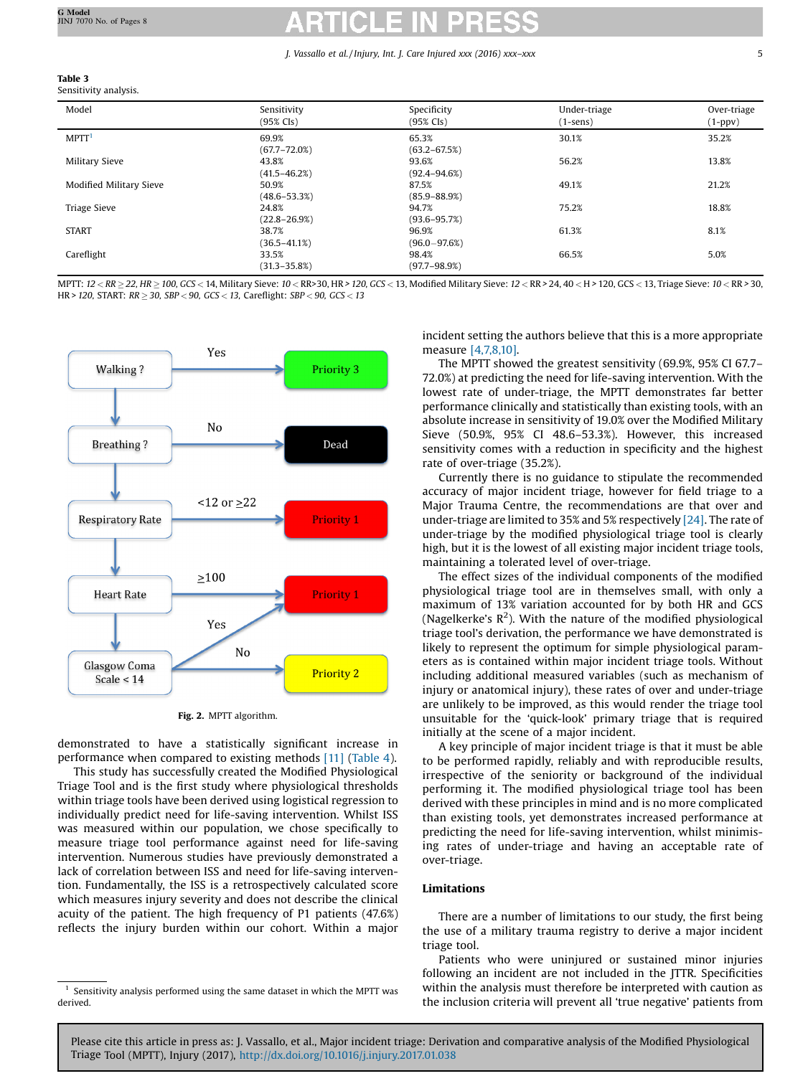# Table 3

Sensitivity analysis.

| Model                   | Sensitivity<br>$(95\%$ CIs) | Specificity<br>$(95\% \text{ Cls})$ | Under-triage<br>$(1-sens)$ | Over-triage<br>$(1 - ppv)$ |
|-------------------------|-----------------------------|-------------------------------------|----------------------------|----------------------------|
| MPTT <sup>1</sup>       | 69.9%<br>$(67.7 - 72.0%)$   | 65.3%<br>$(63.2 - 67.5%)$           | 30.1%                      | 35.2%                      |
| Military Sieve          | 43.8%<br>$(41.5 - 46.2%)$   | 93.6%<br>$(92.4 - 94.6%)$           | 56.2%                      | 13.8%                      |
| Modified Military Sieve | 50.9%<br>$(48.6 - 53.3%)$   | 87.5%<br>$(85.9 - 88.9%)$           | 49.1%                      | 21.2%                      |
| <b>Triage Sieve</b>     | 24.8%<br>$(22.8 - 26.9%)$   | 94.7%<br>$(93.6 - 95.7%)$           | 75.2%                      | 18.8%                      |
| <b>START</b>            | 38.7%<br>$(36.5 - 41.1\%)$  | 96.9%<br>$(96.0 - 97.6%)$           | 61.3%                      | 8.1%                       |
| Careflight              | 33.5%<br>$(31.3 - 35.8%)$   | 98.4%<br>$(97.7 - 98.9%)$           | 66.5%                      | 5.0%                       |

MPTT:  $12 < RR \geq 22$ , HR  $\geq 100$ , GCS < 14, Military Sieve:  $10 < RR>30$ , HR > 120, GCS < 13, Modified Military Sieve:  $12 < RR>34$ , 40 < H > 120, GCS < 13, Triage Sieve:  $10 < RR>30$ ,  $HR > 120$ , START:  $RR \ge 30$ , SBP < 90, GCS < 13, Careflight: SBP < 90, GCS < 13



Fig. 2. MPTT algorithm.

demonstrated to have a statistically significant increase in performance when compared to existing methods [\[11\]](#page-6-0) ([Table](#page-5-0) 4).

This study has successfully created the Modified Physiological Triage Tool and is the first study where physiological thresholds within triage tools have been derived using logistical regression to individually predict need for life-saving intervention. Whilst ISS was measured within our population, we chose specifically to measure triage tool performance against need for life-saving intervention. Numerous studies have previously demonstrated a lack of correlation between ISS and need for life-saving intervention. Fundamentally, the ISS is a retrospectively calculated score which measures injury severity and does not describe the clinical acuity of the patient. The high frequency of P1 patients (47.6%) reflects the injury burden within our cohort. Within a major incident setting the authors believe that this is a more appropriate measure [\[4,7,8,10\].](#page-6-0)

The MPTT showed the greatest sensitivity (69.9%, 95% CI 67.7– 72.0%) at predicting the need for life-saving intervention. With the lowest rate of under-triage, the MPTT demonstrates far better performance clinically and statistically than existing tools, with an absolute increase in sensitivity of 19.0% over the Modified Military Sieve (50.9%, 95% CI 48.6–53.3%). However, this increased sensitivity comes with a reduction in specificity and the highest rate of over-triage (35.2%).

Currently there is no guidance to stipulate the recommended accuracy of major incident triage, however for field triage to a Major Trauma Centre, the recommendations are that over and under-triage are limited to 35% and 5% respectively [\[24\]](#page-7-0). The rate of under-triage by the modified physiological triage tool is clearly high, but it is the lowest of all existing major incident triage tools, maintaining a tolerated level of over-triage.

The effect sizes of the individual components of the modified physiological triage tool are in themselves small, with only a maximum of 13% variation accounted for by both HR and GCS (Nagelkerke's  $R^2$ ). With the nature of the modified physiological triage tool's derivation, the performance we have demonstrated is likely to represent the optimum for simple physiological parameters as is contained within major incident triage tools. Without including additional measured variables (such as mechanism of injury or anatomical injury), these rates of over and under-triage are unlikely to be improved, as this would render the triage tool unsuitable for the 'quick-look' primary triage that is required initially at the scene of a major incident.

A key principle of major incident triage is that it must be able to be performed rapidly, reliably and with reproducible results, irrespective of the seniority or background of the individual performing it. The modified physiological triage tool has been derived with these principles in mind and is no more complicated than existing tools, yet demonstrates increased performance at predicting the need for life-saving intervention, whilst minimising rates of under-triage and having an acceptable rate of over-triage.

# Limitations

There are a number of limitations to our study, the first being the use of a military trauma registry to derive a major incident triage tool.

Patients who were uninjured or sustained minor injuries following an incident are not included in the JTTR. Specificities within the analysis must therefore be interpreted with caution as the inclusion criteria will prevent all 'true negative' patients from

 $^{\rm 1}$  Sensitivity analysis performed using the same dataset in which the MPTT was derived.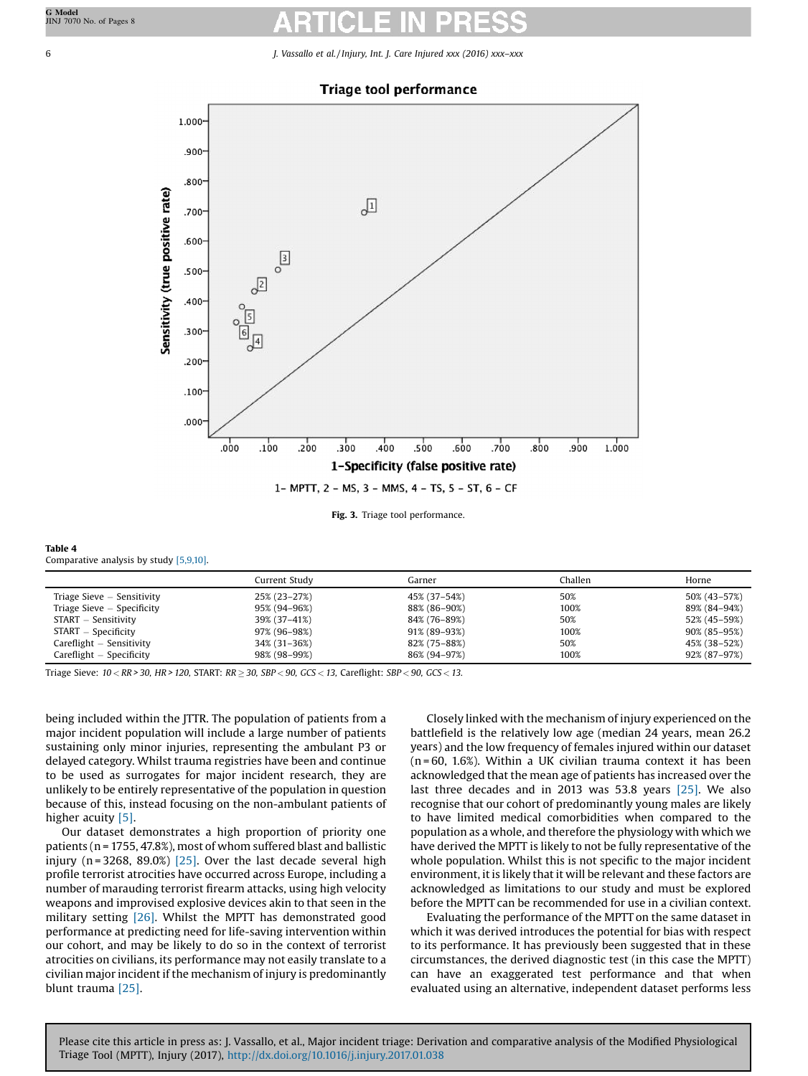<span id="page-5-0"></span>

Fig. 3. Triage tool performance.

| Table 4                                    |  |
|--------------------------------------------|--|
| Comparative analysis by study $[5,9,10]$ . |  |

|                             | Current Studv | Garner       | Challen | Horne        |
|-----------------------------|---------------|--------------|---------|--------------|
| Triage Sieve – Sensitivity  | 25% (23–27%)  | 45% (37–54%) | 50%     | 50% (43–57%) |
| Triage Sieve – Specificity  | 95% (94–96%)  | 88% (86-90%) | 100%    | 89% (84–94%) |
| START – Sensitivity         | 39% (37–41%)  | 84% (76–89%) | 50%     | 52% (45-59%) |
| START – Specificity         | 97% (96–98%)  | 91% (89–93%) | 100%    | 90% (85-95%) |
| $Care flight - Sensitivity$ | 34% (31–36%)  | 82% (75-88%) | 50%     | 45% (38–52%) |
| $Careflight - Specificity$  | 98% (98–99%)  | 86% (94–97%) | 100%    | 92% (87–97%) |

Triage Sieve:  $10 < RR > 30$ , HR > 120, START:  $RR \ge 30$ , SBP < 90, GCS < 13, Careflight: SBP < 90, GCS < 13.

being included within the JTTR. The population of patients from a major incident population will include a large number of patients sustaining only minor injuries, representing the ambulant P3 or delayed category. Whilst trauma registries have been and continue to be used as surrogates for major incident research, they are unlikely to be entirely representative of the population in question because of this, instead focusing on the non-ambulant patients of higher acuity [\[5\]](#page-6-0).

Our dataset demonstrates a high proportion of priority one patients (n = 1755, 47.8%), most of whom suffered blast and ballistic injury ( $n = 3268$ ,  $89.0\%$ ) [\[25\]](#page-7-0). Over the last decade several high profile terrorist atrocities have occurred across Europe, including a number of marauding terrorist firearm attacks, using high velocity weapons and improvised explosive devices akin to that seen in the military setting [\[26\]](#page-7-0). Whilst the MPTT has demonstrated good performance at predicting need for life-saving intervention within our cohort, and may be likely to do so in the context of terrorist atrocities on civilians, its performance may not easily translate to a civilian major incident if the mechanism of injury is predominantly blunt trauma [\[25\]](#page-7-0).

Closely linked with the mechanism of injury experienced on the battlefield is the relatively low age (median 24 years, mean 26.2 years) and the low frequency of females injured within our dataset  $(n = 60, 1.6%)$ . Within a UK civilian trauma context it has been acknowledged that the mean age of patients has increased over the last three decades and in 2013 was 53.8 years [\[25\].](#page-7-0) We also recognise that our cohort of predominantly young males are likely to have limited medical comorbidities when compared to the population as a whole, and therefore the physiology with which we have derived the MPTT is likely to not be fully representative of the whole population. Whilst this is not specific to the major incident environment, it is likely that it will be relevant and these factors are acknowledged as limitations to our study and must be explored before the MPTT can be recommended for use in a civilian context.

Evaluating the performance of the MPTT on the same dataset in which it was derived introduces the potential for bias with respect to its performance. It has previously been suggested that in these circumstances, the derived diagnostic test (in this case the MPTT) can have an exaggerated test performance and that when evaluated using an alternative, independent dataset performs less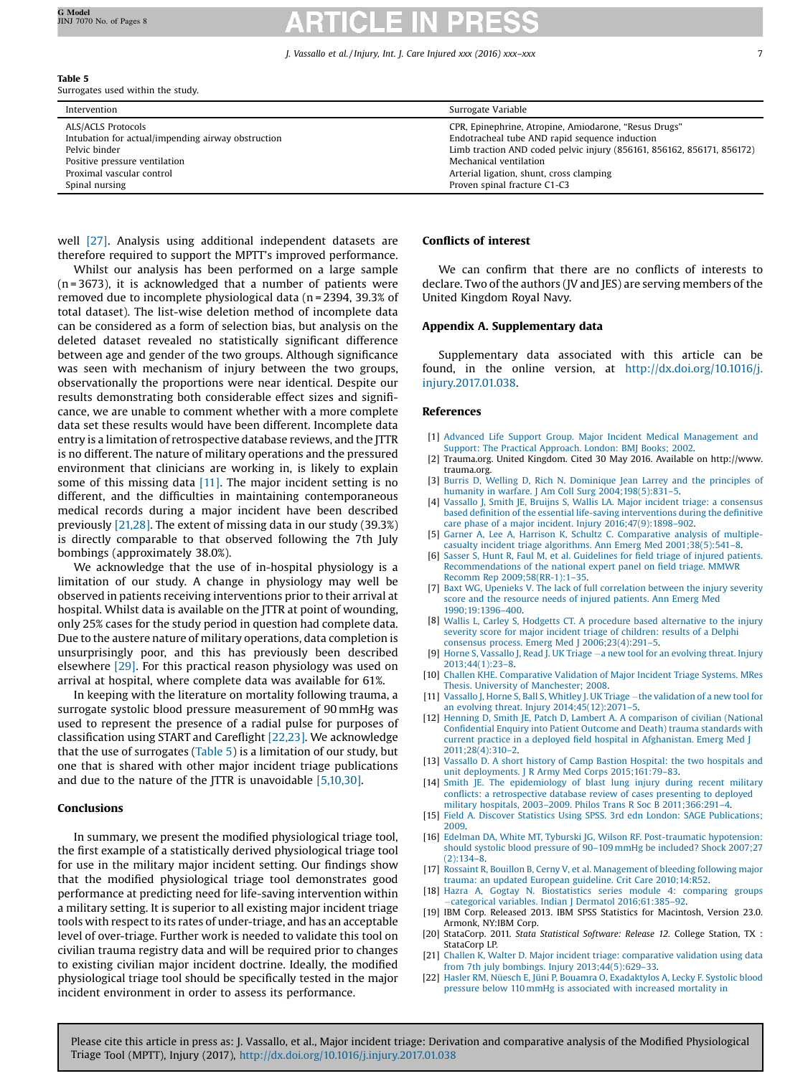# <span id="page-6-0"></span>Table 5

Surrogates used within the study.

| Intervention                                                                                                                                            | Surrogate Variable                                                                                                                                                                                                                                      |
|---------------------------------------------------------------------------------------------------------------------------------------------------------|---------------------------------------------------------------------------------------------------------------------------------------------------------------------------------------------------------------------------------------------------------|
| ALS/ACLS Protocols<br>Intubation for actual/impending airway obstruction<br>Pelvic binder<br>Positive pressure ventilation<br>Proximal vascular control | CPR, Epinephrine, Atropine, Amiodarone, "Resus Drugs"<br>Endotracheal tube AND rapid sequence induction<br>Limb traction AND coded pelvic injury (856161, 856162, 856171, 856172)<br>Mechanical ventilation<br>Arterial ligation, shunt, cross clamping |
| Spinal nursing                                                                                                                                          | Proven spinal fracture C1-C3                                                                                                                                                                                                                            |

well [\[27\]](#page-7-0). Analysis using additional independent datasets are therefore required to support the MPTT's improved performance.

Whilst our analysis has been performed on a large sample  $(n = 3673)$ , it is acknowledged that a number of patients were removed due to incomplete physiological data (n = 2394, 39.3% of total dataset). The list-wise deletion method of incomplete data can be considered as a form of selection bias, but analysis on the deleted dataset revealed no statistically significant difference between age and gender of the two groups. Although significance was seen with mechanism of injury between the two groups, observationally the proportions were near identical. Despite our results demonstrating both considerable effect sizes and significance, we are unable to comment whether with a more complete data set these results would have been different. Incomplete data entry is a limitation of retrospective database reviews, and the JTTR is no different. The nature of military operations and the pressured environment that clinicians are working in, is likely to explain some of this missing data [11]. The major incident setting is no different, and the difficulties in maintaining contemporaneous medical records during a major incident have been described previously [21,28]. The extent of missing data in our study (39.3%) is directly comparable to that observed following the 7th July bombings (approximately 38.0%).

We acknowledge that the use of in-hospital physiology is a limitation of our study. A change in physiology may well be observed in patients receiving interventions prior to their arrival at hospital. Whilst data is available on the JTTR at point of wounding, only 25% cases for the study period in question had complete data. Due to the austere nature of military operations, data completion is unsurprisingly poor, and this has previously been described elsewhere [\[29\]](#page-7-0). For this practical reason physiology was used on arrival at hospital, where complete data was available for 61%.

In keeping with the literature on mortality following trauma, a surrogate systolic blood pressure measurement of 90 mmHg was used to represent the presence of a radial pulse for purposes of classification using START and Careflight [22,23]. We acknowledge that the use of surrogates (Table 5) is a limitation of our study, but one that is shared with other major incident triage publications and due to the nature of the JTTR is unavoidable [5,10,30].

## Conclusions

In summary, we present the modified physiological triage tool, the first example of a statistically derived physiological triage tool for use in the military major incident setting. Our findings show that the modified physiological triage tool demonstrates good performance at predicting need for life-saving intervention within a military setting. It is superior to all existing major incident triage tools with respect to its rates of under-triage, and has an acceptable level of over-triage. Further work is needed to validate this tool on civilian trauma registry data and will be required prior to changes to existing civilian major incident doctrine. Ideally, the modified physiological triage tool should be specifically tested in the major incident environment in order to assess its performance.

## Conflicts of interest

We can confirm that there are no conflicts of interests to declare. Two of the authors (JV and JES) are serving members of the United Kingdom Royal Navy.

### Appendix A. Supplementary data

Supplementary data associated with this article can be found, in the online version, at [http://dx.doi.org/10.1016/j.](http://dx.doi.org/10.1016/j.injury.2017.01.038) [injury.2017.01.038](http://dx.doi.org/10.1016/j.injury.2017.01.038).

### References

- [1] Advanced Life Support Group. Major Incident Medical [Management](http://refhub.elsevier.com/S0020-1383(17)30059-1/sbref0005) and Support: The Practical [Approach.](http://refhub.elsevier.com/S0020-1383(17)30059-1/sbref0005) London: BMJ Books; 2002.
- [2] Trauma.org. United Kingdom. Cited 30 May 2016. Available on http://www. trauma.org.
- [3] Burris D, Welling D, Rich N. [Dominique](http://refhub.elsevier.com/S0020-1383(17)30059-1/sbref0015) Jean Larrey and the principles of humanity in warfare. J Am Coll Surg [2004;198\(5\):831](http://refhub.elsevier.com/S0020-1383(17)30059-1/sbref0015)–5.
- [4] Vassallo J, Smith JE, Bruijns S, Wallis LA. Major incident triage: a [consensus](http://refhub.elsevier.com/S0020-1383(17)30059-1/sbref0020) based definition of the essential life-saving [interventions](http://refhub.elsevier.com/S0020-1383(17)30059-1/sbref0020) during the definitive care phase of a major incident. Injury [2016;47\(9\):1898](http://refhub.elsevier.com/S0020-1383(17)30059-1/sbref0020)–902.
- [5] Garner A, Lee A, Harrison K, Schultz C. [Comparative](http://refhub.elsevier.com/S0020-1383(17)30059-1/sbref0025) analysis of multiplecasualty incident triage algorithms. Ann Emerg Med [2001;38\(5\):541](http://refhub.elsevier.com/S0020-1383(17)30059-1/sbref0025)–8.
- [6] Sasser S, Hunt R, Faul M, et al. [Guidelines](http://refhub.elsevier.com/S0020-1383(17)30059-1/sbref0030) for field triage of injured patients. [Recommendations](http://refhub.elsevier.com/S0020-1383(17)30059-1/sbref0030) of the national expert panel on field triage. MMWR Recomm Rep [2009;58\(RR-1\):1](http://refhub.elsevier.com/S0020-1383(17)30059-1/sbref0030)–35.
- [7] Baxt WG, Upenieks V. The lack of full [correlation](http://refhub.elsevier.com/S0020-1383(17)30059-1/sbref0035) between the injury severity score and the resource needs of injured [patients.](http://refhub.elsevier.com/S0020-1383(17)30059-1/sbref0035) Ann Emerg Med [1990;19:1396](http://refhub.elsevier.com/S0020-1383(17)30059-1/sbref0035)–400.
- [8] Wallis L, Carley S, Hodgetts CT. A procedure based [alternative](http://refhub.elsevier.com/S0020-1383(17)30059-1/sbref0040) to the injury severity score for major incident triage of [children:](http://refhub.elsevier.com/S0020-1383(17)30059-1/sbref0040) results of a Delphi consensus process. Emerg Med J [2006;23\(4\):291](http://refhub.elsevier.com/S0020-1383(17)30059-1/sbref0040)–5.
- [9] Horne S, Vassallo J, Read J. UK Triage a new tool for an [evolving](http://refhub.elsevier.com/S0020-1383(17)30059-1/sbref0045) threat. Injury [2013;44\(1\):23](http://refhub.elsevier.com/S0020-1383(17)30059-1/sbref0045)–8.
- [10] Challen KHE. [Comparative](http://refhub.elsevier.com/S0020-1383(17)30059-1/sbref0050) Validation of Major Incident Triage Systems. MRes Thesis. University of [Manchester;](http://refhub.elsevier.com/S0020-1383(17)30059-1/sbref0050) 2008.
- [11] Vassallo J, Horne S, Ball S, Whitley J. UK Triage the [validation](http://refhub.elsevier.com/S0020-1383(17)30059-1/sbref0055) of a new tool for an evolving threat. Injury [2014;45\(12\):2071](http://refhub.elsevier.com/S0020-1383(17)30059-1/sbref0055)–5.
- [12] Henning D, Smith JE, Patch D, Lambert A. A [comparison](http://refhub.elsevier.com/S0020-1383(17)30059-1/sbref0060) of civilian (National Confidential Enquiry into Patient Outcome and Death) trauma [standards](http://refhub.elsevier.com/S0020-1383(17)30059-1/sbref0060) with current practice in a deployed field hospital in [Afghanistan.](http://refhub.elsevier.com/S0020-1383(17)30059-1/sbref0060) Emerg Med J [2011;28\(4\):310](http://refhub.elsevier.com/S0020-1383(17)30059-1/sbref0060)–2.
- [13] Vassallo D. A short history of Camp Bastion [Hospital:](http://refhub.elsevier.com/S0020-1383(17)30059-1/sbref0065) the two hospitals and unit [deployments.](http://refhub.elsevier.com/S0020-1383(17)30059-1/sbref0065) J R Army Med Corps 2015;161:79–83.
- [14] Smith JE. The [epidemiology](http://refhub.elsevier.com/S0020-1383(17)30059-1/sbref0070) of blast lung injury during recent military conflicts: a [retrospective](http://refhub.elsevier.com/S0020-1383(17)30059-1/sbref0070) database review of cases presenting to deployed military hospitals, 2003–2009. Philos Trans R Soc B [2011;366:291](http://refhub.elsevier.com/S0020-1383(17)30059-1/sbref0070)–4.
- [15] Field A. Discover Statistics Using SPSS. 3rd edn London: SAGE [Publications;](http://refhub.elsevier.com/S0020-1383(17)30059-1/sbref0075) [2009.](http://refhub.elsevier.com/S0020-1383(17)30059-1/sbref0075)
- [16] Edelman DA, White MT, Tyburski JG, Wilson RF. [Post-traumatic](http://refhub.elsevier.com/S0020-1383(17)30059-1/sbref0080) hypotension: should systolic blood pressure of 90–109 mmHg be [included?](http://refhub.elsevier.com/S0020-1383(17)30059-1/sbref0080) Shock 2007;27 [\(2\):134](http://refhub.elsevier.com/S0020-1383(17)30059-1/sbref0080)–8.
- [17] Rossaint R, Bouillon B, Cerny V, et al. [Management](http://refhub.elsevier.com/S0020-1383(17)30059-1/sbref0085) of bleeding following major trauma: an updated European guideline. Crit Care [2010;14:R52](http://refhub.elsevier.com/S0020-1383(17)30059-1/sbref0085).
- [18] Hazra A, Gogtay N. [Biostatistics](http://refhub.elsevier.com/S0020-1383(17)30059-1/sbref0090) series module 4: comparing groups categorical variables. Indian J Dermatol [2016;61:385](http://refhub.elsevier.com/S0020-1383(17)30059-1/sbref0090)–92.
- [19] IBM Corp. Released 2013. IBM SPSS Statistics for Macintosh, Version 23.0. Armonk, NY:IBM Corp.
- [20] StataCorp. 2011. Stata Statistical Software: Release 12. College Station, TX : StataCorp LP.
- [21] Challen K, Walter D. Major incident triage: [comparative](http://refhub.elsevier.com/S0020-1383(17)30059-1/sbref0105) validation using data from 7th july bombings. Injury [2013;44\(5\):629](http://refhub.elsevier.com/S0020-1383(17)30059-1/sbref0105)–33.
- [22] Hasler RM, Nüesch E, Jüni P, Bouamra O, [Exadaktylos](http://refhub.elsevier.com/S0020-1383(17)30059-1/sbref0110) A, Lecky F. Systolic blood pressure below 110 mmHg is [associated](http://refhub.elsevier.com/S0020-1383(17)30059-1/sbref0110) with increased mortality in